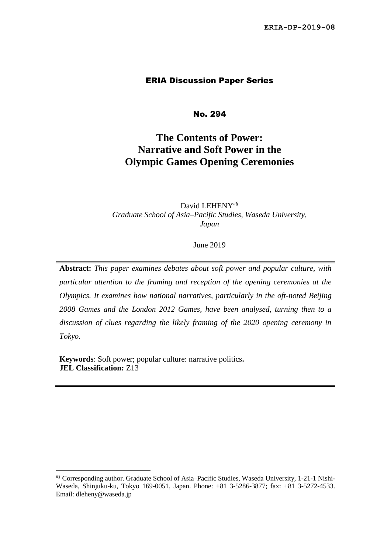#### ERIA Discussion Paper Series

No. 294

# **The Contents of Power: Narrative and Soft Power in the Olympic Games Opening Ceremonies**

David LEHENY<sup>#§</sup> *Graduate School of Asia–Pacific Studies, Waseda University, Japan*

June 2019

**Abstract:** *This paper examines debates about soft power and popular culture, with particular attention to the framing and reception of the opening ceremonies at the Olympics. It examines how national narratives, particularly in the oft-noted Beijing 2008 Games and the London 2012 Games, have been analysed, turning then to a discussion of clues regarding the likely framing of the 2020 opening ceremony in Tokyo.*

**Keywords**: Soft power; popular culture: narrative politics**. JEL Classification:** Z13

<sup>#§</sup> Corresponding author. Graduate School of Asia–Pacific Studies, Waseda University, 1-21-1 Nishi-Waseda, Shinjuku-ku, Tokyo 169-0051, Japan. Phone: +81 3-5286-3877; fax: +81 3-5272-4533. Email: dleheny@waseda.jp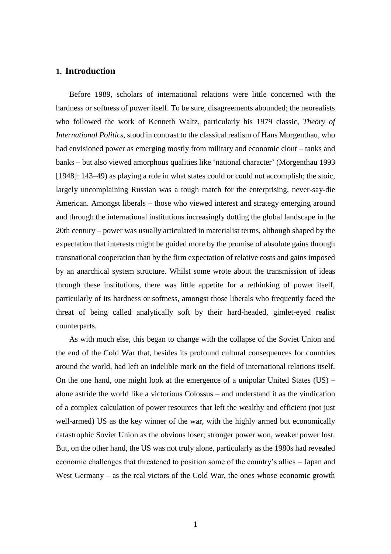#### **1. Introduction**

Before 1989, scholars of international relations were little concerned with the hardness or softness of power itself. To be sure, disagreements abounded; the neorealists who followed the work of Kenneth Waltz, particularly his 1979 classic, *Theory of International Politics*, stood in contrast to the classical realism of Hans Morgenthau, who had envisioned power as emerging mostly from military and economic clout – tanks and banks – but also viewed amorphous qualities like 'national character' (Morgenthau 1993 [1948]: 143–49) as playing a role in what states could or could not accomplish; the stoic, largely uncomplaining Russian was a tough match for the enterprising, never-say-die American. Amongst liberals – those who viewed interest and strategy emerging around and through the international institutions increasingly dotting the global landscape in the 20th century – power was usually articulated in materialist terms, although shaped by the expectation that interests might be guided more by the promise of absolute gains through transnational cooperation than by the firm expectation of relative costs and gains imposed by an anarchical system structure. Whilst some wrote about the transmission of ideas through these institutions, there was little appetite for a rethinking of power itself, particularly of its hardness or softness, amongst those liberals who frequently faced the threat of being called analytically soft by their hard-headed, gimlet-eyed realist counterparts.

As with much else, this began to change with the collapse of the Soviet Union and the end of the Cold War that, besides its profound cultural consequences for countries around the world, had left an indelible mark on the field of international relations itself. On the one hand, one might look at the emergence of a unipolar United States  $(US)$  – alone astride the world like a victorious Colossus – and understand it as the vindication of a complex calculation of power resources that left the wealthy and efficient (not just well-armed) US as the key winner of the war, with the highly armed but economically catastrophic Soviet Union as the obvious loser; stronger power won, weaker power lost. But, on the other hand, the US was not truly alone, particularly as the 1980s had revealed economic challenges that threatened to position some of the country's allies – Japan and West Germany – as the real victors of the Cold War, the ones whose economic growth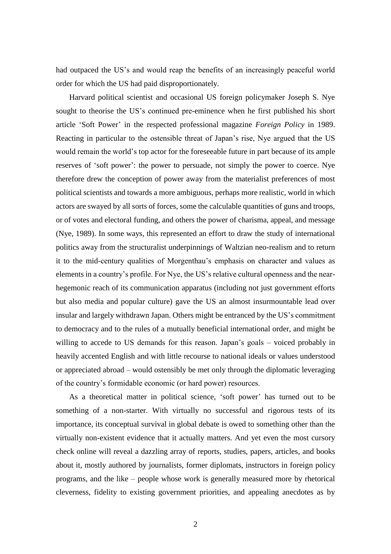had outpaced the US's and would reap the benefits of an increasingly peaceful world order for which the US had paid disproportionately.

Harvard political scientist and occasional US foreign policymaker Joseph S. Nye sought to theorise the US's continued pre-eminence when he first published his short article 'Soft Power' in the respected professional magazine *Foreign Policy* in 1989. Reacting in particular to the ostensible threat of Japan's rise, Nye argued that the US would remain the world's top actor for the foreseeable future in part because of its ample reserves of 'soft power': the power to persuade, not simply the power to coerce. Nye therefore drew the conception of power away from the materialist preferences of most political scientists and towards a more ambiguous, perhaps more realistic, world in which actors are swayed by all sorts of forces, some the calculable quantities of guns and troops, or of votes and electoral funding, and others the power of charisma, appeal, and message (Nye, 1989). In some ways, this represented an effort to draw the study of international politics away from the structuralist underpinnings of Waltzian neo-realism and to return it to the mid-century qualities of Morgenthau's emphasis on character and values as elements in a country's profile. For Nye, the US's relative cultural openness and the nearhegemonic reach of its communication apparatus (including not just government efforts but also media and popular culture) gave the US an almost insurmountable lead over insular and largely withdrawn Japan. Others might be entranced by the US's commitment to democracy and to the rules of a mutually beneficial international order, and might be willing to accede to US demands for this reason. Japan's goals – voiced probably in heavily accented English and with little recourse to national ideals or values understood or appreciated abroad – would ostensibly be met only through the diplomatic leveraging of the country's formidable economic (or hard power) resources.

As a theoretical matter in political science, 'soft power' has turned out to be something of a non-starter. With virtually no successful and rigorous tests of its importance, its conceptual survival in global debate is owed to something other than the virtually non-existent evidence that it actually matters. And yet even the most cursory check online will reveal a dazzling array of reports, studies, papers, articles, and books about it, mostly authored by journalists, former diplomats, instructors in foreign policy programs, and the like – people whose work is generally measured more by rhetorical cleverness, fidelity to existing government priorities, and appealing anecdotes as by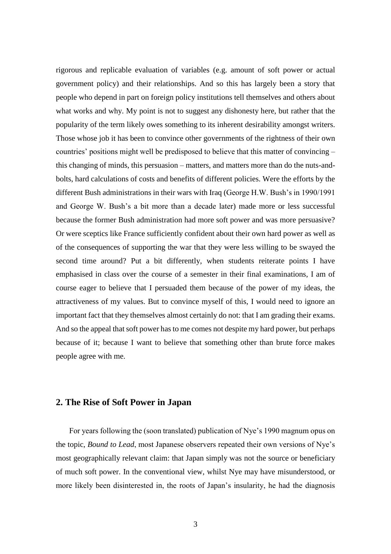rigorous and replicable evaluation of variables (e.g. amount of soft power or actual government policy) and their relationships. And so this has largely been a story that people who depend in part on foreign policy institutions tell themselves and others about what works and why. My point is not to suggest any dishonesty here, but rather that the popularity of the term likely owes something to its inherent desirability amongst writers. Those whose job it has been to convince other governments of the rightness of their own countries' positions might well be predisposed to believe that this matter of convincing – this changing of minds, this persuasion – matters, and matters more than do the nuts-andbolts, hard calculations of costs and benefits of different policies. Were the efforts by the different Bush administrations in their wars with Iraq (George H.W. Bush's in 1990/1991 and George W. Bush's a bit more than a decade later) made more or less successful because the former Bush administration had more soft power and was more persuasive? Or were sceptics like France sufficiently confident about their own hard power as well as of the consequences of supporting the war that they were less willing to be swayed the second time around? Put a bit differently, when students reiterate points I have emphasised in class over the course of a semester in their final examinations, I am of course eager to believe that I persuaded them because of the power of my ideas, the attractiveness of my values. But to convince myself of this, I would need to ignore an important fact that they themselves almost certainly do not: that I am grading their exams. And so the appeal that soft power has to me comes not despite my hard power, but perhaps because of it; because I want to believe that something other than brute force makes people agree with me.

#### **2. The Rise of Soft Power in Japan**

For years following the (soon translated) publication of Nye's 1990 magnum opus on the topic, *Bound to Lead*, most Japanese observers repeated their own versions of Nye's most geographically relevant claim: that Japan simply was not the source or beneficiary of much soft power. In the conventional view, whilst Nye may have misunderstood, or more likely been disinterested in, the roots of Japan's insularity, he had the diagnosis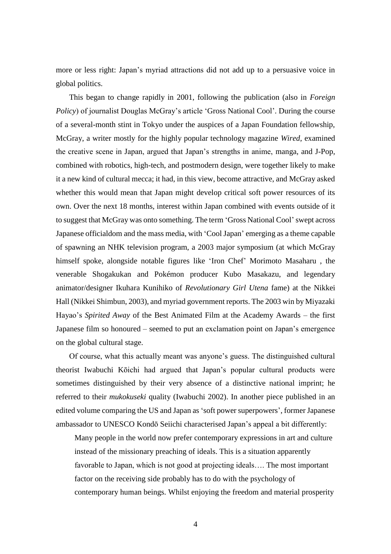more or less right: Japan's myriad attractions did not add up to a persuasive voice in global politics.

This began to change rapidly in 2001, following the publication (also in *Foreign Policy*) of journalist Douglas McGray's article 'Gross National Cool'. During the course of a several-month stint in Tokyo under the auspices of a Japan Foundation fellowship, McGray, a writer mostly for the highly popular technology magazine *Wired*, examined the creative scene in Japan, argued that Japan's strengths in anime, manga, and J-Pop, combined with robotics, high-tech, and postmodern design, were together likely to make it a new kind of cultural mecca; it had, in this view, become attractive, and McGray asked whether this would mean that Japan might develop critical soft power resources of its own. Over the next 18 months, interest within Japan combined with events outside of it to suggest that McGray was onto something. The term 'Gross National Cool'swept across Japanese officialdom and the mass media, with 'Cool Japan' emerging as a theme capable of spawning an NHK television program, a 2003 major symposium (at which McGray himself spoke, alongside notable figures like 'Iron Chef' Morimoto Masaharu , the venerable Shogakukan and Pokémon producer Kubo Masakazu, and legendary animator/designer Ikuhara Kunihiko of *Revolutionary Girl Utena* fame) at the Nikkei Hall (Nikkei Shimbun, 2003), and myriad government reports. The 2003 win by Miyazaki Hayao's *Spirited Away* of the Best Animated Film at the Academy Awards – the first Japanese film so honoured – seemed to put an exclamation point on Japan's emergence on the global cultural stage.

Of course, what this actually meant was anyone's guess. The distinguished cultural theorist Iwabuchi Kōichi had argued that Japan's popular cultural products were sometimes distinguished by their very absence of a distinctive national imprint; he referred to their *mukokuseki* quality (Iwabuchi 2002). In another piece published in an edited volume comparing the US and Japan as 'soft power superpowers', former Japanese ambassador to UNESCO Kondō Seiichi characterised Japan's appeal a bit differently:

Many people in the world now prefer contemporary expressions in art and culture instead of the missionary preaching of ideals. This is a situation apparently favorable to Japan, which is not good at projecting ideals…. The most important factor on the receiving side probably has to do with the psychology of contemporary human beings. Whilst enjoying the freedom and material prosperity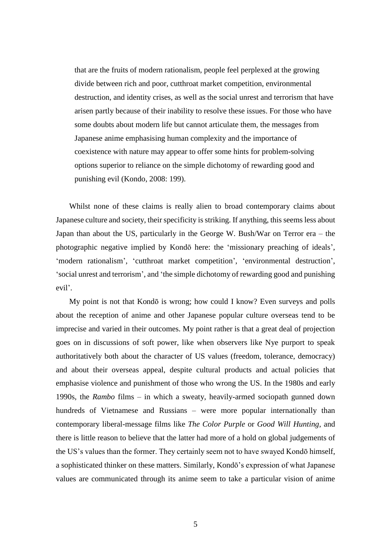that are the fruits of modern rationalism, people feel perplexed at the growing divide between rich and poor, cutthroat market competition, environmental destruction, and identity crises, as well as the social unrest and terrorism that have arisen partly because of their inability to resolve these issues. For those who have some doubts about modern life but cannot articulate them, the messages from Japanese anime emphasising human complexity and the importance of coexistence with nature may appear to offer some hints for problem-solving options superior to reliance on the simple dichotomy of rewarding good and punishing evil (Kondo, 2008: 199).

Whilst none of these claims is really alien to broad contemporary claims about Japanese culture and society, their specificity is striking. If anything, this seems less about Japan than about the US, particularly in the George W. Bush/War on Terror era – the photographic negative implied by Kondō here: the 'missionary preaching of ideals', 'modern rationalism', 'cutthroat market competition', 'environmental destruction', 'social unrest and terrorism', and 'the simple dichotomy of rewarding good and punishing evil'.

My point is not that Kondō is wrong; how could I know? Even surveys and polls about the reception of anime and other Japanese popular culture overseas tend to be imprecise and varied in their outcomes. My point rather is that a great deal of projection goes on in discussions of soft power, like when observers like Nye purport to speak authoritatively both about the character of US values (freedom, tolerance, democracy) and about their overseas appeal, despite cultural products and actual policies that emphasise violence and punishment of those who wrong the US. In the 1980s and early 1990s, the *Rambo* films – in which a sweaty, heavily-armed sociopath gunned down hundreds of Vietnamese and Russians – were more popular internationally than contemporary liberal-message films like *The Color Purple* or *Good Will Hunting*, and there is little reason to believe that the latter had more of a hold on global judgements of the US's values than the former. They certainly seem not to have swayed Kondō himself, a sophisticated thinker on these matters. Similarly, Kondō's expression of what Japanese values are communicated through its anime seem to take a particular vision of anime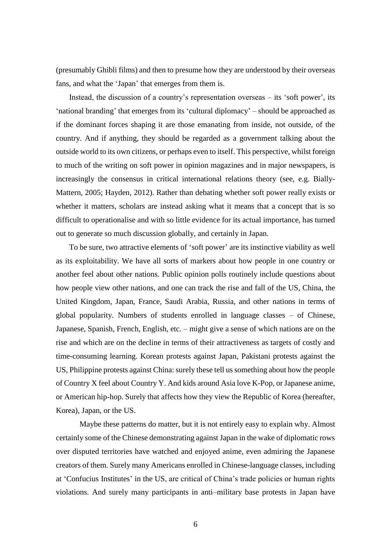(presumably Ghibli films) and then to presume how they are understood by their overseas fans, and what the 'Japan' that emerges from them is.

Instead, the discussion of a country's representation overseas – its 'soft power', its 'national branding' that emerges from its 'cultural diplomacy' – should be approached as if the dominant forces shaping it are those emanating from inside, not outside, of the country. And if anything, they should be regarded as a government talking about the outside world to its own citizens, or perhaps even to itself. This perspective, whilst foreign to much of the writing on soft power in opinion magazines and in major newspapers, is increasingly the consensus in critical international relations theory (see, e.g. Bially-Mattern, 2005; Hayden, 2012). Rather than debating whether soft power really exists or whether it matters, scholars are instead asking what it means that a concept that is so difficult to operationalise and with so little evidence for its actual importance, has turned out to generate so much discussion globally, and certainly in Japan.

To be sure, two attractive elements of 'soft power' are its instinctive viability as well as its exploitability. We have all sorts of markers about how people in one country or another feel about other nations. Public opinion polls routinely include questions about how people view other nations, and one can track the rise and fall of the US, China, the United Kingdom, Japan, France, Saudi Arabia, Russia, and other nations in terms of global popularity. Numbers of students enrolled in language classes – of Chinese, Japanese, Spanish, French, English, etc. – might give a sense of which nations are on the rise and which are on the decline in terms of their attractiveness as targets of costly and time-consuming learning. Korean protests against Japan, Pakistani protests against the US, Philippine protests against China: surely these tell us something about how the people of Country X feel about Country Y. And kids around Asia love K-Pop, or Japanese anime, or American hip-hop. Surely that affects how they view the Republic of Korea (hereafter, Korea), Japan, or the US.

Maybe these patterns do matter, but it is not entirely easy to explain why. Almost certainly some of the Chinese demonstrating against Japan in the wake of diplomatic rows over disputed territories have watched and enjoyed anime, even admiring the Japanese creators of them. Surely many Americans enrolled in Chinese-language classes, including at 'Confucius Institutes' in the US, are critical of China's trade policies or human rights violations. And surely many participants in anti–military base protests in Japan have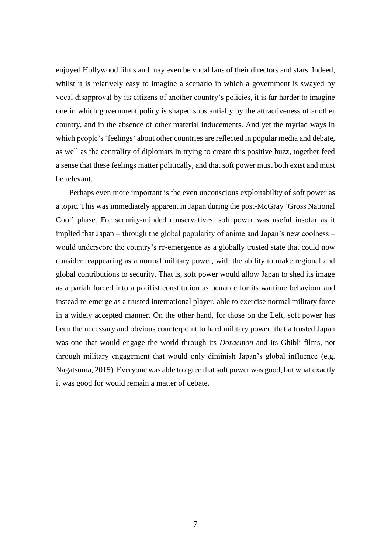enjoyed Hollywood films and may even be vocal fans of their directors and stars. Indeed, whilst it is relatively easy to imagine a scenario in which a government is swayed by vocal disapproval by its citizens of another country's policies, it is far harder to imagine one in which government policy is shaped substantially by the attractiveness of another country, and in the absence of other material inducements. And yet the myriad ways in which people's 'feelings' about other countries are reflected in popular media and debate, as well as the centrality of diplomats in trying to create this positive buzz, together feed a sense that these feelings matter politically, and that soft power must both exist and must be relevant.

Perhaps even more important is the even unconscious exploitability of soft power as a topic. This was immediately apparent in Japan during the post-McGray 'Gross National Cool' phase. For security-minded conservatives, soft power was useful insofar as it implied that Japan – through the global popularity of anime and Japan's new coolness – would underscore the country's re-emergence as a globally trusted state that could now consider reappearing as a normal military power, with the ability to make regional and global contributions to security. That is, soft power would allow Japan to shed its image as a pariah forced into a pacifist constitution as penance for its wartime behaviour and instead re-emerge as a trusted international player, able to exercise normal military force in a widely accepted manner. On the other hand, for those on the Left, soft power has been the necessary and obvious counterpoint to hard military power: that a trusted Japan was one that would engage the world through its *Doraemon* and its Ghibli films, not through military engagement that would only diminish Japan's global influence (e.g. Nagatsuma, 2015). Everyone was able to agree that soft power was good, but what exactly it was good for would remain a matter of debate.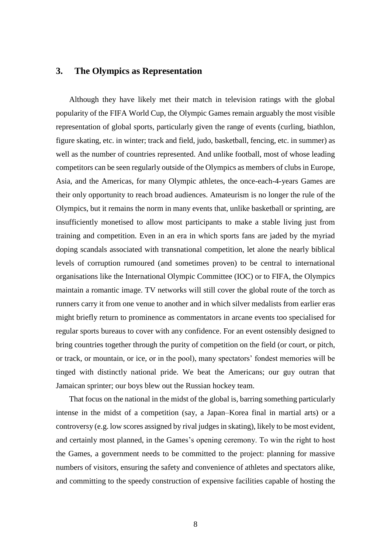## **3. The Olympics as Representation**

Although they have likely met their match in television ratings with the global popularity of the FIFA World Cup, the Olympic Games remain arguably the most visible representation of global sports, particularly given the range of events (curling, biathlon, figure skating, etc. in winter; track and field, judo, basketball, fencing, etc. in summer) as well as the number of countries represented. And unlike football, most of whose leading competitors can be seen regularly outside of the Olympics as members of clubs in Europe, Asia, and the Americas, for many Olympic athletes, the once-each-4-years Games are their only opportunity to reach broad audiences. Amateurism is no longer the rule of the Olympics, but it remains the norm in many events that, unlike basketball or sprinting, are insufficiently monetised to allow most participants to make a stable living just from training and competition. Even in an era in which sports fans are jaded by the myriad doping scandals associated with transnational competition, let alone the nearly biblical levels of corruption rumoured (and sometimes proven) to be central to international organisations like the International Olympic Committee (IOC) or to FIFA, the Olympics maintain a romantic image. TV networks will still cover the global route of the torch as runners carry it from one venue to another and in which silver medalists from earlier eras might briefly return to prominence as commentators in arcane events too specialised for regular sports bureaus to cover with any confidence. For an event ostensibly designed to bring countries together through the purity of competition on the field (or court, or pitch, or track, or mountain, or ice, or in the pool), many spectators' fondest memories will be tinged with distinctly national pride. We beat the Americans; our guy outran that Jamaican sprinter; our boys blew out the Russian hockey team.

That focus on the national in the midst of the global is, barring something particularly intense in the midst of a competition (say, a Japan–Korea final in martial arts) or a controversy (e.g. low scores assigned by rival judges in skating), likely to be most evident, and certainly most planned, in the Games's opening ceremony. To win the right to host the Games, a government needs to be committed to the project: planning for massive numbers of visitors, ensuring the safety and convenience of athletes and spectators alike, and committing to the speedy construction of expensive facilities capable of hosting the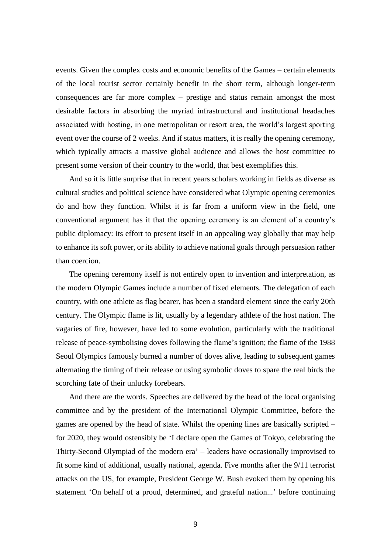events. Given the complex costs and economic benefits of the Games – certain elements of the local tourist sector certainly benefit in the short term, although longer-term consequences are far more complex – prestige and status remain amongst the most desirable factors in absorbing the myriad infrastructural and institutional headaches associated with hosting, in one metropolitan or resort area, the world's largest sporting event over the course of 2 weeks. And if status matters, it is really the opening ceremony, which typically attracts a massive global audience and allows the host committee to present some version of their country to the world, that best exemplifies this.

And so it is little surprise that in recent years scholars working in fields as diverse as cultural studies and political science have considered what Olympic opening ceremonies do and how they function. Whilst it is far from a uniform view in the field, one conventional argument has it that the opening ceremony is an element of a country's public diplomacy: its effort to present itself in an appealing way globally that may help to enhance its soft power, or its ability to achieve national goals through persuasion rather than coercion.

The opening ceremony itself is not entirely open to invention and interpretation, as the modern Olympic Games include a number of fixed elements. The delegation of each country, with one athlete as flag bearer, has been a standard element since the early 20th century. The Olympic flame is lit, usually by a legendary athlete of the host nation. The vagaries of fire, however, have led to some evolution, particularly with the traditional release of peace-symbolising doves following the flame's ignition; the flame of the 1988 Seoul Olympics famously burned a number of doves alive, leading to subsequent games alternating the timing of their release or using symbolic doves to spare the real birds the scorching fate of their unlucky forebears.

And there are the words. Speeches are delivered by the head of the local organising committee and by the president of the International Olympic Committee, before the games are opened by the head of state. Whilst the opening lines are basically scripted – for 2020, they would ostensibly be 'I declare open the Games of Tokyo, celebrating the Thirty-Second Olympiad of the modern era' – leaders have occasionally improvised to fit some kind of additional, usually national, agenda. Five months after the 9/11 terrorist attacks on the US, for example, President George W. Bush evoked them by opening his statement 'On behalf of a proud, determined, and grateful nation...' before continuing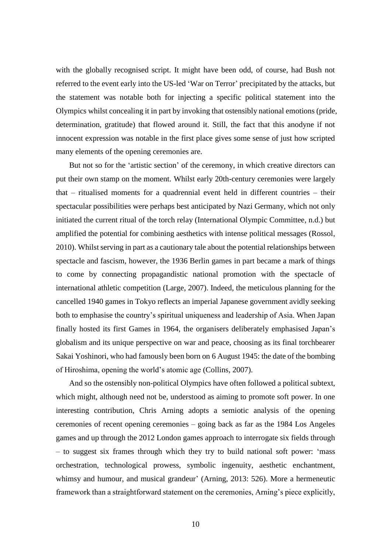with the globally recognised script. It might have been odd, of course, had Bush not referred to the event early into the US-led 'War on Terror' precipitated by the attacks, but the statement was notable both for injecting a specific political statement into the Olympics whilst concealing it in part by invoking that ostensibly national emotions (pride, determination, gratitude) that flowed around it. Still, the fact that this anodyne if not innocent expression was notable in the first place gives some sense of just how scripted many elements of the opening ceremonies are.

But not so for the 'artistic section' of the ceremony, in which creative directors can put their own stamp on the moment. Whilst early 20th-century ceremonies were largely that – ritualised moments for a quadrennial event held in different countries – their spectacular possibilities were perhaps best anticipated by Nazi Germany, which not only initiated the current ritual of the torch relay (International Olympic Committee, n.d.) but amplified the potential for combining aesthetics with intense political messages (Rossol, 2010). Whilst serving in part as a cautionary tale about the potential relationships between spectacle and fascism, however, the 1936 Berlin games in part became a mark of things to come by connecting propagandistic national promotion with the spectacle of international athletic competition (Large, 2007). Indeed, the meticulous planning for the cancelled 1940 games in Tokyo reflects an imperial Japanese government avidly seeking both to emphasise the country's spiritual uniqueness and leadership of Asia. When Japan finally hosted its first Games in 1964, the organisers deliberately emphasised Japan's globalism and its unique perspective on war and peace, choosing as its final torchbearer Sakai Yoshinori, who had famously been born on 6 August 1945: the date of the bombing of Hiroshima, opening the world's atomic age (Collins, 2007).

And so the ostensibly non-political Olympics have often followed a political subtext, which might, although need not be, understood as aiming to promote soft power. In one interesting contribution, Chris Arning adopts a semiotic analysis of the opening ceremonies of recent opening ceremonies – going back as far as the 1984 Los Angeles games and up through the 2012 London games approach to interrogate six fields through – to suggest six frames through which they try to build national soft power: 'mass orchestration, technological prowess, symbolic ingenuity, aesthetic enchantment, whimsy and humour, and musical grandeur' (Arning, 2013: 526). More a hermeneutic framework than a straightforward statement on the ceremonies, Arning's piece explicitly,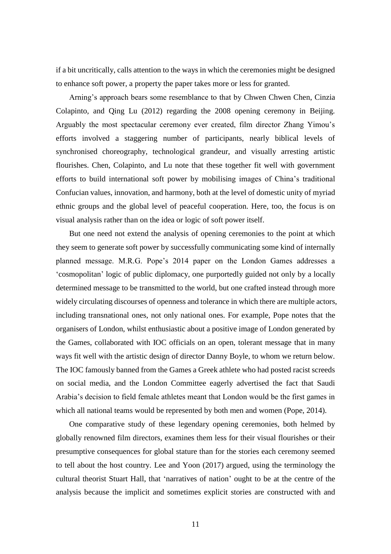if a bit uncritically, calls attention to the ways in which the ceremonies might be designed to enhance soft power, a property the paper takes more or less for granted.

Arning's approach bears some resemblance to that by Chwen Chwen Chen, Cinzia Colapinto, and Qing Lu (2012) regarding the 2008 opening ceremony in Beijing. Arguably the most spectacular ceremony ever created, film director Zhang Yimou's efforts involved a staggering number of participants, nearly biblical levels of synchronised choreography, technological grandeur, and visually arresting artistic flourishes. Chen, Colapinto, and Lu note that these together fit well with government efforts to build international soft power by mobilising images of China's traditional Confucian values, innovation, and harmony, both at the level of domestic unity of myriad ethnic groups and the global level of peaceful cooperation. Here, too, the focus is on visual analysis rather than on the idea or logic of soft power itself.

But one need not extend the analysis of opening ceremonies to the point at which they seem to generate soft power by successfully communicating some kind of internally planned message. M.R.G. Pope's 2014 paper on the London Games addresses a 'cosmopolitan' logic of public diplomacy, one purportedly guided not only by a locally determined message to be transmitted to the world, but one crafted instead through more widely circulating discourses of openness and tolerance in which there are multiple actors, including transnational ones, not only national ones. For example, Pope notes that the organisers of London, whilst enthusiastic about a positive image of London generated by the Games, collaborated with IOC officials on an open, tolerant message that in many ways fit well with the artistic design of director Danny Boyle, to whom we return below. The IOC famously banned from the Games a Greek athlete who had posted racist screeds on social media, and the London Committee eagerly advertised the fact that Saudi Arabia's decision to field female athletes meant that London would be the first games in which all national teams would be represented by both men and women (Pope, 2014).

One comparative study of these legendary opening ceremonies, both helmed by globally renowned film directors, examines them less for their visual flourishes or their presumptive consequences for global stature than for the stories each ceremony seemed to tell about the host country. Lee and Yoon (2017) argued, using the terminology the cultural theorist Stuart Hall, that 'narratives of nation' ought to be at the centre of the analysis because the implicit and sometimes explicit stories are constructed with and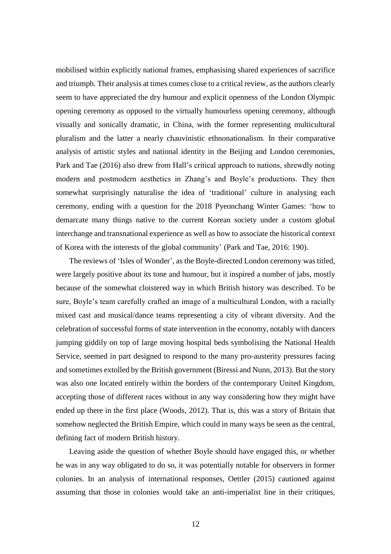mobilised within explicitly national frames, emphasising shared experiences of sacrifice and triumph. Their analysis at times comes close to a critical review, as the authors clearly seem to have appreciated the dry humour and explicit openness of the London Olympic opening ceremony as opposed to the virtually humourless opening ceremony, although visually and sonically dramatic, in China, with the former representing multicultural pluralism and the latter a nearly chauvinistic ethnonationalism. In their comparative analysis of artistic styles and national identity in the Beijing and London ceremonies, Park and Tae (2016) also drew from Hall's critical approach to nations, shrewdly noting modern and postmodern aesthetics in Zhang's and Boyle's productions. They then somewhat surprisingly naturalise the idea of 'traditional' culture in analysing each ceremony, ending with a question for the 2018 Pyeonchang Winter Games: 'how to demarcate many things native to the current Korean society under a custom global interchange and transnational experience as well as how to associate the historical context of Korea with the interests of the global community' (Park and Tae, 2016: 190).

The reviews of 'Isles of Wonder', as the Boyle-directed London ceremony was titled, were largely positive about its tone and humour, but it inspired a number of jabs, mostly because of the somewhat cloistered way in which British history was described. To be sure, Boyle's team carefully crafted an image of a multicultural London, with a racially mixed cast and musical/dance teams representing a city of vibrant diversity. And the celebration of successful forms of state intervention in the economy, notably with dancers jumping giddily on top of large moving hospital beds symbolising the National Health Service, seemed in part designed to respond to the many pro-austerity pressures facing and sometimes extolled by the British government (Biressi and Nunn, 2013). But the story was also one located entirely within the borders of the contemporary United Kingdom, accepting those of different races without in any way considering how they might have ended up there in the first place (Woods, 2012). That is, this was a story of Britain that somehow neglected the British Empire, which could in many ways be seen as the central, defining fact of modern British history.

Leaving aside the question of whether Boyle should have engaged this, or whether he was in any way obligated to do so, it was potentially notable for observers in former colonies. In an analysis of international responses, Oettler (2015) cautioned against assuming that those in colonies would take an anti-imperialist line in their critiques,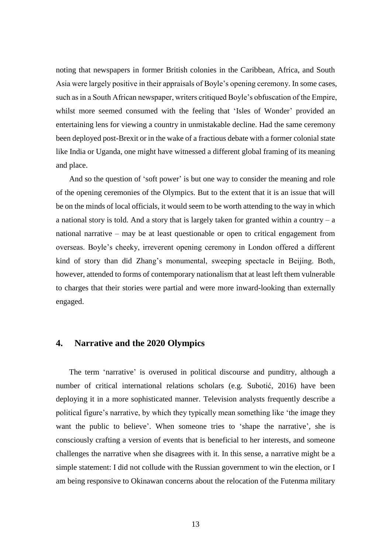noting that newspapers in former British colonies in the Caribbean, Africa, and South Asia were largely positive in their appraisals of Boyle's opening ceremony. In some cases, such as in a South African newspaper, writers critiqued Boyle's obfuscation of the Empire, whilst more seemed consumed with the feeling that 'Isles of Wonder' provided an entertaining lens for viewing a country in unmistakable decline. Had the same ceremony been deployed post-Brexit or in the wake of a fractious debate with a former colonial state like India or Uganda, one might have witnessed a different global framing of its meaning and place.

And so the question of 'soft power' is but one way to consider the meaning and role of the opening ceremonies of the Olympics. But to the extent that it is an issue that will be on the minds of local officials, it would seem to be worth attending to the way in which a national story is told. And a story that is largely taken for granted within a country  $-a$ national narrative – may be at least questionable or open to critical engagement from overseas. Boyle's cheeky, irreverent opening ceremony in London offered a different kind of story than did Zhang's monumental, sweeping spectacle in Beijing. Both, however, attended to forms of contemporary nationalism that at least left them vulnerable to charges that their stories were partial and were more inward-looking than externally engaged.

### **4. Narrative and the 2020 Olympics**

The term 'narrative' is overused in political discourse and punditry, although a number of critical international relations scholars (e.g. Subotić, 2016) have been deploying it in a more sophisticated manner. Television analysts frequently describe a political figure's narrative, by which they typically mean something like 'the image they want the public to believe'. When someone tries to 'shape the narrative', she is consciously crafting a version of events that is beneficial to her interests, and someone challenges the narrative when she disagrees with it. In this sense, a narrative might be a simple statement: I did not collude with the Russian government to win the election, or I am being responsive to Okinawan concerns about the relocation of the Futenma military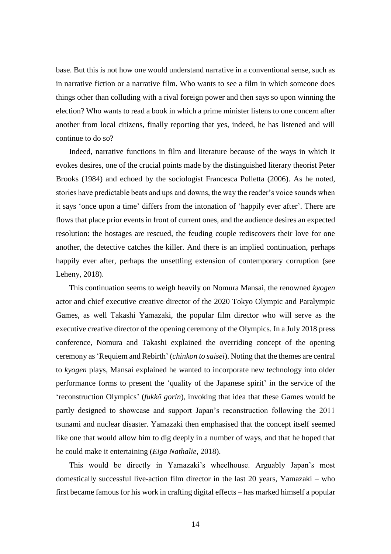base. But this is not how one would understand narrative in a conventional sense, such as in narrative fiction or a narrative film. Who wants to see a film in which someone does things other than colluding with a rival foreign power and then says so upon winning the election? Who wants to read a book in which a prime minister listens to one concern after another from local citizens, finally reporting that yes, indeed, he has listened and will continue to do so?

Indeed, narrative functions in film and literature because of the ways in which it evokes desires, one of the crucial points made by the distinguished literary theorist Peter Brooks (1984) and echoed by the sociologist Francesca Polletta (2006). As he noted, stories have predictable beats and ups and downs, the way the reader's voice sounds when it says 'once upon a time' differs from the intonation of 'happily ever after'. There are flows that place prior events in front of current ones, and the audience desires an expected resolution: the hostages are rescued, the feuding couple rediscovers their love for one another, the detective catches the killer. And there is an implied continuation, perhaps happily ever after, perhaps the unsettling extension of contemporary corruption (see Leheny, 2018).

This continuation seems to weigh heavily on Nomura Mansai, the renowned *kyogen* actor and chief executive creative director of the 2020 Tokyo Olympic and Paralympic Games, as well Takashi Yamazaki, the popular film director who will serve as the executive creative director of the opening ceremony of the Olympics. In a July 2018 press conference, Nomura and Takashi explained the overriding concept of the opening ceremony as 'Requiem and Rebirth' (*chinkon to saisei*). Noting that the themes are central to *kyogen* plays, Mansai explained he wanted to incorporate new technology into older performance forms to present the 'quality of the Japanese spirit' in the service of the 'reconstruction Olympics' (*fukkō gorin*), invoking that idea that these Games would be partly designed to showcase and support Japan's reconstruction following the 2011 tsunami and nuclear disaster. Yamazaki then emphasised that the concept itself seemed like one that would allow him to dig deeply in a number of ways, and that he hoped that he could make it entertaining (*Eiga Nathalie,* 2018).

This would be directly in Yamazaki's wheelhouse. Arguably Japan's most domestically successful live-action film director in the last 20 years, Yamazaki – who first became famous for his work in crafting digital effects – has marked himself a popular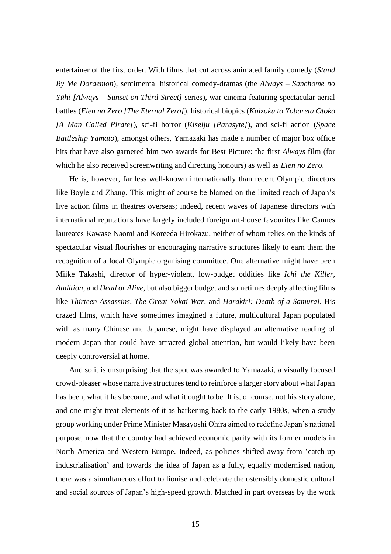entertainer of the first order. With films that cut across animated family comedy (*Stand By Me Doraemon*), sentimental historical comedy-dramas (the *Always – Sanchome no Yūhi [Always – Sunset on Third Street]* series), war cinema featuring spectacular aerial battles (*Eien no Zero [The Eternal Zero]*), historical biopics (*Kaizoku to Yobareta Otoko [A Man Called Pirate]*), sci-fi horror (*Kiseiju [Parasyte]*), and sci-fi action (*Space Battleship Yamato*), amongst others, Yamazaki has made a number of major box office hits that have also garnered him two awards for Best Picture: the first *Always* film (for which he also received screenwriting and directing honours) as well as *Eien no Zero*.

He is, however, far less well-known internationally than recent Olympic directors like Boyle and Zhang. This might of course be blamed on the limited reach of Japan's live action films in theatres overseas; indeed, recent waves of Japanese directors with international reputations have largely included foreign art-house favourites like Cannes laureates Kawase Naomi and Koreeda Hirokazu, neither of whom relies on the kinds of spectacular visual flourishes or encouraging narrative structures likely to earn them the recognition of a local Olympic organising committee. One alternative might have been Miike Takashi, director of hyper-violent, low-budget oddities like *Ichi the Killer*, *Audition*, and *Dead or Alive*, but also bigger budget and sometimes deeply affecting films like *Thirteen Assassins*, *The Great Yokai War*, and *Harakiri: Death of a Samurai*. His crazed films, which have sometimes imagined a future, multicultural Japan populated with as many Chinese and Japanese, might have displayed an alternative reading of modern Japan that could have attracted global attention, but would likely have been deeply controversial at home.

And so it is unsurprising that the spot was awarded to Yamazaki, a visually focused crowd-pleaser whose narrative structures tend to reinforce a larger story about what Japan has been, what it has become, and what it ought to be. It is, of course, not his story alone, and one might treat elements of it as harkening back to the early 1980s, when a study group working under Prime Minister Masayoshi Ohira aimed to redefine Japan's national purpose, now that the country had achieved economic parity with its former models in North America and Western Europe. Indeed, as policies shifted away from 'catch-up industrialisation' and towards the idea of Japan as a fully, equally modernised nation, there was a simultaneous effort to lionise and celebrate the ostensibly domestic cultural and social sources of Japan's high-speed growth. Matched in part overseas by the work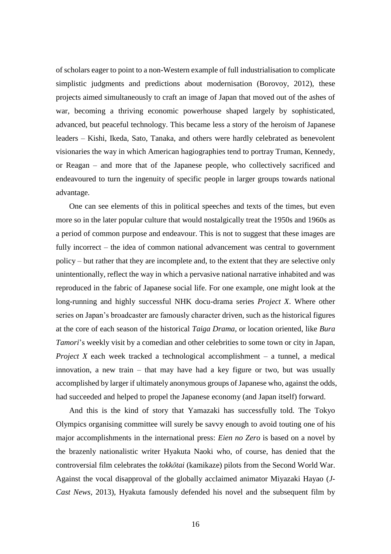of scholars eager to point to a non-Western example of full industrialisation to complicate simplistic judgments and predictions about modernisation (Borovoy, 2012), these projects aimed simultaneously to craft an image of Japan that moved out of the ashes of war, becoming a thriving economic powerhouse shaped largely by sophisticated, advanced, but peaceful technology. This became less a story of the heroism of Japanese leaders – Kishi, Ikeda, Sato, Tanaka, and others were hardly celebrated as benevolent visionaries the way in which American hagiographies tend to portray Truman, Kennedy, or Reagan – and more that of the Japanese people, who collectively sacrificed and endeavoured to turn the ingenuity of specific people in larger groups towards national advantage.

One can see elements of this in political speeches and texts of the times, but even more so in the later popular culture that would nostalgically treat the 1950s and 1960s as a period of common purpose and endeavour. This is not to suggest that these images are fully incorrect – the idea of common national advancement was central to government policy – but rather that they are incomplete and, to the extent that they are selective only unintentionally, reflect the way in which a pervasive national narrative inhabited and was reproduced in the fabric of Japanese social life. For one example, one might look at the long-running and highly successful NHK docu-drama series *Project X*. Where other series on Japan's broadcaster are famously character driven, such as the historical figures at the core of each season of the historical *Taiga Drama*, or location oriented, like *Bura Tamori*'s weekly visit by a comedian and other celebrities to some town or city in Japan, *Project X* each week tracked a technological accomplishment – a tunnel, a medical innovation, a new train – that may have had a key figure or two, but was usually accomplished by larger if ultimately anonymous groups of Japanese who, against the odds, had succeeded and helped to propel the Japanese economy (and Japan itself) forward.

And this is the kind of story that Yamazaki has successfully told. The Tokyo Olympics organising committee will surely be savvy enough to avoid touting one of his major accomplishments in the international press: *Eien no Zero* is based on a novel by the brazenly nationalistic writer Hyakuta Naoki who, of course, has denied that the controversial film celebrates the *tokkōtai* (kamikaze) pilots from the Second World War. Against the vocal disapproval of the globally acclaimed animator Miyazaki Hayao (*J-Cast News,* 2013), Hyakuta famously defended his novel and the subsequent film by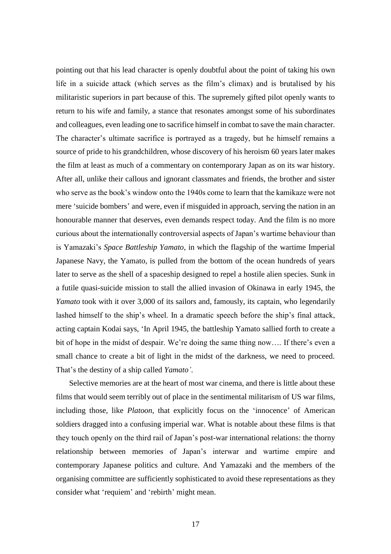pointing out that his lead character is openly doubtful about the point of taking his own life in a suicide attack (which serves as the film's climax) and is brutalised by his militaristic superiors in part because of this. The supremely gifted pilot openly wants to return to his wife and family, a stance that resonates amongst some of his subordinates and colleagues, even leading one to sacrifice himself in combat to save the main character. The character's ultimate sacrifice is portrayed as a tragedy, but he himself remains a source of pride to his grandchildren, whose discovery of his heroism 60 years later makes the film at least as much of a commentary on contemporary Japan as on its war history. After all, unlike their callous and ignorant classmates and friends, the brother and sister who serve as the book's window onto the 1940s come to learn that the kamikaze were not mere 'suicide bombers' and were, even if misguided in approach, serving the nation in an honourable manner that deserves, even demands respect today. And the film is no more curious about the internationally controversial aspects of Japan's wartime behaviour than is Yamazaki's *Space Battleship Yamato*, in which the flagship of the wartime Imperial Japanese Navy, the Yamato, is pulled from the bottom of the ocean hundreds of years later to serve as the shell of a spaceship designed to repel a hostile alien species. Sunk in a futile quasi-suicide mission to stall the allied invasion of Okinawa in early 1945, the *Yamato* took with it over 3,000 of its sailors and, famously, its captain, who legendarily lashed himself to the ship's wheel. In a dramatic speech before the ship's final attack, acting captain Kodai says, 'In April 1945, the battleship Yamato sallied forth to create a bit of hope in the midst of despair. We're doing the same thing now…. If there's even a small chance to create a bit of light in the midst of the darkness, we need to proceed. That's the destiny of a ship called *Yamato'*.

Selective memories are at the heart of most war cinema, and there is little about these films that would seem terribly out of place in the sentimental militarism of US war films, including those, like *Platoon*, that explicitly focus on the 'innocence' of American soldiers dragged into a confusing imperial war. What is notable about these films is that they touch openly on the third rail of Japan's post-war international relations: the thorny relationship between memories of Japan's interwar and wartime empire and contemporary Japanese politics and culture. And Yamazaki and the members of the organising committee are sufficiently sophisticated to avoid these representations as they consider what 'requiem' and 'rebirth' might mean.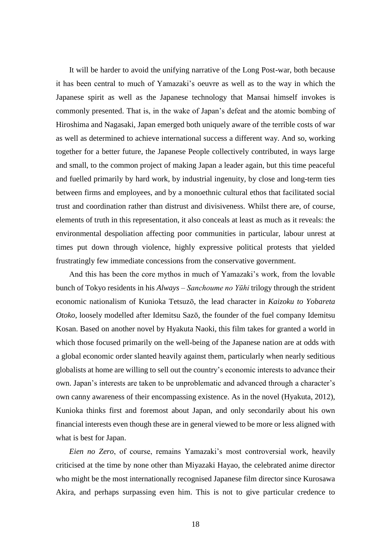It will be harder to avoid the unifying narrative of the Long Post-war, both because it has been central to much of Yamazaki's oeuvre as well as to the way in which the Japanese spirit as well as the Japanese technology that Mansai himself invokes is commonly presented. That is, in the wake of Japan's defeat and the atomic bombing of Hiroshima and Nagasaki, Japan emerged both uniquely aware of the terrible costs of war as well as determined to achieve international success a different way. And so, working together for a better future, the Japanese People collectively contributed, in ways large and small, to the common project of making Japan a leader again, but this time peaceful and fuelled primarily by hard work, by industrial ingenuity, by close and long-term ties between firms and employees, and by a monoethnic cultural ethos that facilitated social trust and coordination rather than distrust and divisiveness. Whilst there are, of course, elements of truth in this representation, it also conceals at least as much as it reveals: the environmental despoliation affecting poor communities in particular, labour unrest at times put down through violence, highly expressive political protests that yielded frustratingly few immediate concessions from the conservative government.

And this has been the core mythos in much of Yamazaki's work, from the lovable bunch of Tokyo residents in his *Always – Sanchoume no Yūhi* trilogy through the strident economic nationalism of Kunioka Tetsuzō, the lead character in *Kaizoku to Yobareta Otoko*, loosely modelled after Idemitsu Sazō, the founder of the fuel company Idemitsu Kosan. Based on another novel by Hyakuta Naoki, this film takes for granted a world in which those focused primarily on the well-being of the Japanese nation are at odds with a global economic order slanted heavily against them, particularly when nearly seditious globalists at home are willing to sell out the country's economic interests to advance their own. Japan's interests are taken to be unproblematic and advanced through a character's own canny awareness of their encompassing existence. As in the novel (Hyakuta, 2012), Kunioka thinks first and foremost about Japan, and only secondarily about his own financial interests even though these are in general viewed to be more or less aligned with what is best for Japan.

*Eien no Zero*, of course, remains Yamazaki's most controversial work, heavily criticised at the time by none other than Miyazaki Hayao, the celebrated anime director who might be the most internationally recognised Japanese film director since Kurosawa Akira, and perhaps surpassing even him. This is not to give particular credence to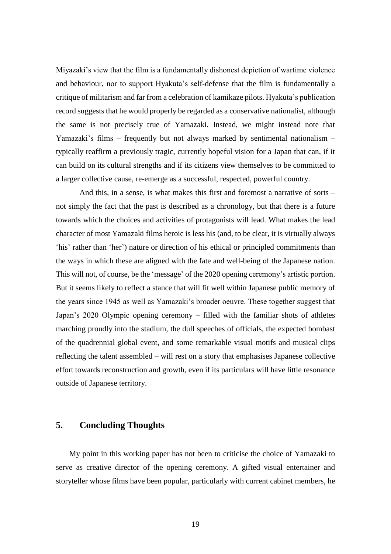Miyazaki's view that the film is a fundamentally dishonest depiction of wartime violence and behaviour, nor to support Hyakuta's self-defense that the film is fundamentally a critique of militarism and far from a celebration of kamikaze pilots. Hyakuta's publication record suggests that he would properly be regarded as a conservative nationalist, although the same is not precisely true of Yamazaki. Instead, we might instead note that Yamazaki's films – frequently but not always marked by sentimental nationalism – typically reaffirm a previously tragic, currently hopeful vision for a Japan that can, if it can build on its cultural strengths and if its citizens view themselves to be committed to a larger collective cause, re-emerge as a successful, respected, powerful country.

And this, in a sense, is what makes this first and foremost a narrative of sorts – not simply the fact that the past is described as a chronology, but that there is a future towards which the choices and activities of protagonists will lead. What makes the lead character of most Yamazaki films heroic is less his (and, to be clear, it is virtually always 'his' rather than 'her') nature or direction of his ethical or principled commitments than the ways in which these are aligned with the fate and well-being of the Japanese nation. This will not, of course, be the 'message' of the 2020 opening ceremony's artistic portion. But it seems likely to reflect a stance that will fit well within Japanese public memory of the years since 1945 as well as Yamazaki's broader oeuvre. These together suggest that Japan's 2020 Olympic opening ceremony – filled with the familiar shots of athletes marching proudly into the stadium, the dull speeches of officials, the expected bombast of the quadrennial global event, and some remarkable visual motifs and musical clips reflecting the talent assembled – will rest on a story that emphasises Japanese collective effort towards reconstruction and growth, even if its particulars will have little resonance outside of Japanese territory.

## **5. Concluding Thoughts**

My point in this working paper has not been to criticise the choice of Yamazaki to serve as creative director of the opening ceremony. A gifted visual entertainer and storyteller whose films have been popular, particularly with current cabinet members, he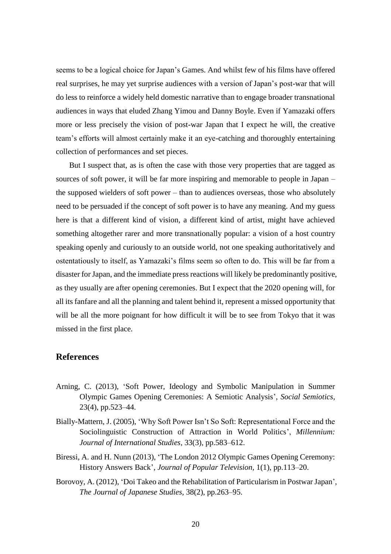seems to be a logical choice for Japan's Games. And whilst few of his films have offered real surprises, he may yet surprise audiences with a version of Japan's post-war that will do less to reinforce a widely held domestic narrative than to engage broader transnational audiences in ways that eluded Zhang Yimou and Danny Boyle. Even if Yamazaki offers more or less precisely the vision of post-war Japan that I expect he will, the creative team's efforts will almost certainly make it an eye-catching and thoroughly entertaining collection of performances and set pieces.

But I suspect that, as is often the case with those very properties that are tagged as sources of soft power, it will be far more inspiring and memorable to people in Japan – the supposed wielders of soft power – than to audiences overseas, those who absolutely need to be persuaded if the concept of soft power is to have any meaning. And my guess here is that a different kind of vision, a different kind of artist, might have achieved something altogether rarer and more transnationally popular: a vision of a host country speaking openly and curiously to an outside world, not one speaking authoritatively and ostentatiously to itself, as Yamazaki's films seem so often to do. This will be far from a disaster for Japan, and the immediate press reactions will likely be predominantly positive, as they usually are after opening ceremonies. But I expect that the 2020 opening will, for all its fanfare and all the planning and talent behind it, represent a missed opportunity that will be all the more poignant for how difficult it will be to see from Tokyo that it was missed in the first place.

# **References**

- Arning, C. (2013), 'Soft Power, Ideology and Symbolic Manipulation in Summer Olympic Games Opening Ceremonies: A Semiotic Analysis', *Social Semiotics,* 23(4), pp.523–44.
- Bially-Mattern, J. (2005), 'Why Soft Power Isn't So Soft: Representational Force and the Sociolinguistic Construction of Attraction in World Politics', *Millennium: Journal of International Studies,* 33(3), pp.583–612.
- Biressi, A. and H. Nunn (2013), 'The London 2012 Olympic Games Opening Ceremony: History Answers Back', *Journal of Popular Television,* 1(1), pp.113–20.
- Borovoy, A. (2012), 'Doi Takeo and the Rehabilitation of Particularism in Postwar Japan', *The Journal of Japanese Studies,* 38(2), pp.263–95.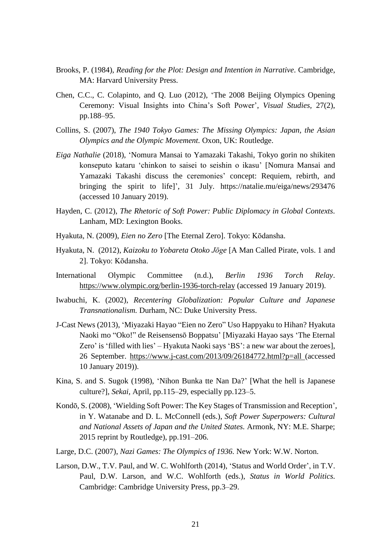- Brooks, P. (1984), *Reading for the Plot: Design and Intention in Narrative.* Cambridge, MA: Harvard University Press.
- Chen, C.C., C. Colapinto, and Q. Luo (2012), 'The 2008 Beijing Olympics Opening Ceremony: Visual Insights into China's Soft Power', *Visual Studies,* 27(2), pp.188–95.
- Collins, S. (2007), *The 1940 Tokyo Games: The Missing Olympics: Japan, the Asian Olympics and the Olympic Movement.* Oxon, UK: Routledge.
- *Eiga Nathalie* (2018), 'Nomura Mansai to Yamazaki Takashi, Tokyo gorin no shikiten konseputo kataru 'chinkon to saisei to seishin o ikasu' [Nomura Mansai and Yamazaki Takashi discuss the ceremonies' concept: Requiem, rebirth, and bringing the spirit to life]', 31 July. https://natalie.mu/eiga/news/293476 (accessed 10 January 2019).
- Hayden, C. (2012), *The Rhetoric of Soft Power: Public Diplomacy in Global Contexts.* Lanham, MD: Lexington Books.
- Hyakuta, N. (2009), *Eien no Zero* [The Eternal Zero]. Tokyo: Kōdansha.
- Hyakuta, N. (2012), *Kaizoku to Yobareta Otoko Jōge* [A Man Called Pirate, vols. 1 and 2]. Tokyo: Kōdansha.
- International Olympic Committee (n.d.), *Berlin 1936 Torch Relay*. https://www.olympic.org/berlin-1936-torch-relay (accessed 19 January 2019).
- Iwabuchi, K. (2002), *Recentering Globalization: Popular Culture and Japanese Transnationalism.* Durham, NC: Duke University Press.
- J-Cast News (2013), 'Miyazaki Hayao "Eien no Zero" Uso Happyaku to Hihan? Hyakuta Naoki mo "Oko!" de Reisensensō Boppatsu' [Miyazaki Hayao says 'The Eternal Zero' is 'filled with lies' – Hyakuta Naoki says 'BS': a new war about the zeroes], 26 September.<https://www.j-cast.com/2013/09/26184772.html?p=all> (accessed 10 January 2019)).
- Kina, S. and S. Sugok (1998), 'Nihon Bunka tte Nan Da?' [What the hell is Japanese culture?], *Sekai,* April, pp.115–29, especially pp.123–5.
- Kondō, S. (2008), 'Wielding Soft Power: The Key Stages of Transmission and Reception', in Y. Watanabe and D. L. McConnell (eds.), *Soft Power Superpowers: Cultural and National Assets of Japan and the United States.* Armonk, NY: M.E. Sharpe; 2015 reprint by Routledge), pp.191–206.
- Large, D.C. (2007), *Nazi Games: The Olympics of 1936.* New York: W.W. Norton.
- Larson, D.W., T.V. Paul, and W. C. Wohlforth (2014), 'Status and World Order', in T.V. Paul, D.W. Larson, and W.C. Wohlforth (eds.), *Status in World Politics.* Cambridge: Cambridge University Press, pp.3–29.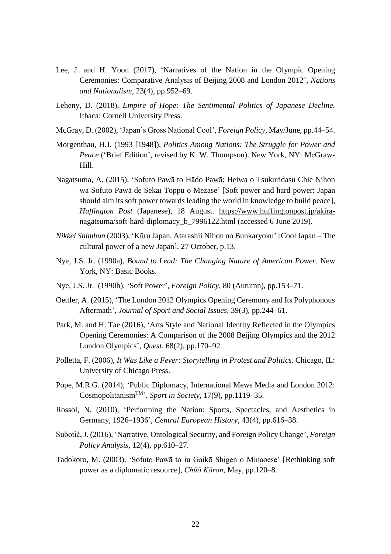- Lee, J. and H. Yoon (2017), 'Narratives of the Nation in the Olympic Opening Ceremonies: Comparative Analysis of Beijing 2008 and London 2012', *Nations and Nationalism,* 23(4), pp.952–69.
- Leheny, D. (2018), *Empire of Hope: The Sentimental Politics of Japanese Decline.* Ithaca: Cornell University Press.
- McGray, D. (2002), 'Japan's Gross National Cool', *Foreign Policy,* May/June, pp.44–54.
- Morgenthau, H.J. (1993 [1948]), *Politics Among Nations: The Struggle for Power and Peace* ('Brief Edition', revised by K. W. Thompson). New York, NY: McGraw-Hill.
- Nagatsuma, A. (2015), 'Sofuto Pawā to Hādo Pawā: Heiwa o Tsukuridasu Chie Nihon wa Sofuto Pawā de Sekai Toppu o Mezase' [Soft power and hard power: Japan should aim its soft power towards leading the world in knowledge to build peace], *Huffington Post* (Japanese), 18 August. https://www.huffingtonpost.jp/akiranagatsuma/soft-hard-diplomacy b 7996122.html (accessed 6 June 2019).
- *Nikkei Shimbun* (2003), 'Kūru Japan, Atarashii Nihon no Bunkaryoku' [Cool Japan The cultural power of a new Japan], 27 October, p.13.
- Nye, J.S. Jr. (1990a), *Bound to Lead: The Changing Nature of American Power.* New York, NY: Basic Books.
- Nye, J.S. Jr. (1990b), 'Soft Power', *Foreign Policy,* 80 (Autumn), pp.153–71.
- Oettler, A. (2015), 'The London 2012 Olympics Opening Ceremony and Its Polyphonous Aftermath', *Journal of Sport and Social Issues,* 39(3), pp.244–61.
- Park, M. and H. Tae (2016), 'Arts Style and National Identity Reflected in the Olympics Opening Ceremonies: A Comparison of the 2008 Beijing Olympics and the 2012 London Olympics', *Quest,* 68(2), pp.170–92.
- Polletta, F. (2006), *It Was Like a Fever: Storytelling in Protest and Politics.* Chicago, IL: University of Chicago Press.
- Pope, M.R.G. (2014), 'Public Diplomacy, International Mews Media and London 2012: CosmopolitanismTM', *Sport in Society,* 17(9), pp.1119–35.
- Rossol, N. (2010), 'Performing the Nation: Sports, Spectacles, and Aesthetics in Germany, 1926–1936', *Central European History,* 43(4), pp.616–38.
- Subotić, J. (2016), 'Narrative, Ontological Security, and Foreign Policy Change', *Foreign Policy Analysis,* 12(4), pp.610–27.
- Tadokoro, M. (2003), 'Sofuto Pawā to iu Gaikō Shigen o Minaoese' [Rethinking soft power as a diplomatic resource], *Chūō Kōron,* May, pp.120–8.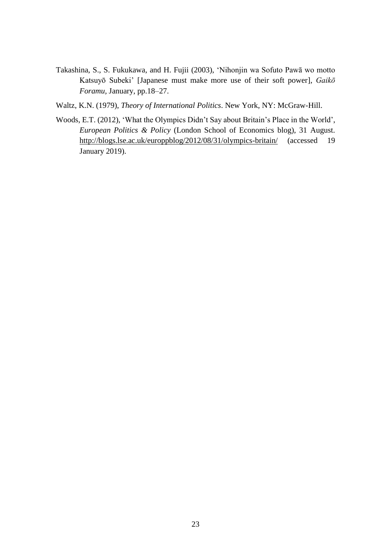- Takashina, S., S. Fukukawa, and H. Fujii (2003), 'Nihonjin wa Sofuto Pawā wo motto Katsuyō Subeki' [Japanese must make more use of their soft power], *Gaikō Foramu,* January, pp.18–27.
- Waltz, K.N. (1979), *Theory of International Politics*. New York, NY: McGraw-Hill.
- Woods, E.T. (2012), 'What the Olympics Didn't Say about Britain's Place in the World', *European Politics & Policy* (London School of Economics blog), 31 August. http://blogs.lse.ac.uk/europpblog/2012/08/31/olympics-britain/ (accessed 19 January 2019).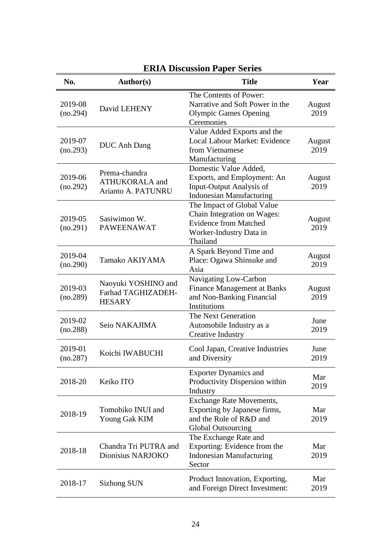| No.                 | <b>Author(s)</b>                                             | <b>Title</b>                                                                                                                     | Year           |
|---------------------|--------------------------------------------------------------|----------------------------------------------------------------------------------------------------------------------------------|----------------|
| 2019-08<br>(no.294) | David LEHENY                                                 | The Contents of Power:<br>Narrative and Soft Power in the<br><b>Olympic Games Opening</b><br>Ceremonies                          | August<br>2019 |
| 2019-07<br>(no.293) | <b>DUC Anh Dang</b>                                          | Value Added Exports and the<br>Local Labour Market: Evidence<br>from Vietnamese<br>Manufacturing                                 | August<br>2019 |
| 2019-06<br>(no.292) | Prema-chandra<br><b>ATHUKORALA</b> and<br>Arianto A. PATUNRU | Domestic Value Added,<br>Exports, and Employment: An<br>Input-Output Analysis of<br><b>Indonesian Manufacturing</b>              | August<br>2019 |
| 2019-05<br>(no.291) | Sasiwimon W.<br><b>PAWEENAWAT</b>                            | The Impact of Global Value<br>Chain Integration on Wages:<br><b>Evidence from Matched</b><br>Worker-Industry Data in<br>Thailand | August<br>2019 |
| 2019-04<br>(no.290) | Tamako AKIYAMA                                               | A Spark Beyond Time and<br>Place: Ogawa Shinsuke and<br>Asia                                                                     | August<br>2019 |
| 2019-03<br>(no.289) | Naoyuki YOSHINO and<br>Farhad TAGHIZADEH-<br><b>HESARY</b>   | Navigating Low-Carbon<br><b>Finance Management at Banks</b><br>and Non-Banking Financial<br>Institutions                         | August<br>2019 |
| 2019-02<br>(no.288) | Seio NAKAJIMA                                                | The Next Generation<br>Automobile Industry as a<br><b>Creative Industry</b>                                                      | June<br>2019   |
| 2019-01<br>(no.287) | Koichi IWABUCHI                                              | Cool Japan, Creative Industries<br>and Diversity                                                                                 | June<br>2019   |
| 2018-20             | Keiko ITO                                                    | <b>Exporter Dynamics and</b><br>Productivity Dispersion within<br>Industry                                                       | Mar<br>2019    |
| 2018-19             | Tomohiko INUI and<br>Young Gak KIM                           | <b>Exchange Rate Movements,</b><br>Exporting by Japanese firms,<br>and the Role of R&D and<br><b>Global Outsourcing</b>          | Mar<br>2019    |
| 2018-18             | Chandra Tri PUTRA and<br>Dionisius NARJOKO                   | The Exchange Rate and<br>Exporting: Evidence from the<br><b>Indonesian Manufacturing</b><br>Sector                               | Mar<br>2019    |
| 2018-17             | <b>Sizhong SUN</b>                                           | Product Innovation, Exporting,<br>and Foreign Direct Investment:                                                                 | Mar<br>2019    |

# **ERIA Discussion Paper Series**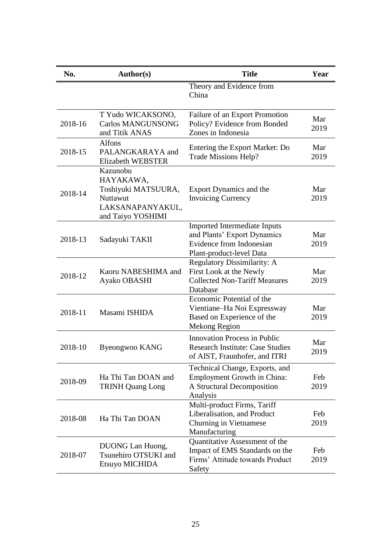| No.     | Author(s)                                                                                         | <b>Title</b>                                                                                                        | Year        |
|---------|---------------------------------------------------------------------------------------------------|---------------------------------------------------------------------------------------------------------------------|-------------|
|         |                                                                                                   | Theory and Evidence from<br>China                                                                                   |             |
| 2018-16 | T Yudo WICAKSONO,<br><b>Carlos MANGUNSONG</b><br>and Titik ANAS                                   | Failure of an Export Promotion<br>Policy? Evidence from Bonded<br>Zones in Indonesia                                | Mar<br>2019 |
| 2018-15 | <b>Alfons</b><br>PALANGKARAYA and<br><b>Elizabeth WEBSTER</b>                                     | Entering the Export Market: Do<br>Trade Missions Help?                                                              | Mar<br>2019 |
| 2018-14 | Kazunobu<br>HAYAKAWA,<br>Toshiyuki MATSUURA,<br>Nuttawut<br>LAKSANAPANYAKUL,<br>and Taiyo YOSHIMI | Export Dynamics and the<br><b>Invoicing Currency</b>                                                                | Mar<br>2019 |
| 2018-13 | Sadayuki TAKII                                                                                    | Imported Intermediate Inputs<br>and Plants' Export Dynamics<br>Evidence from Indonesian<br>Plant-product-level Data | Mar<br>2019 |
| 2018-12 | Kaoru NABESHIMA and<br>Ayako OBASHI                                                               | <b>Regulatory Dissimilarity: A</b><br>First Look at the Newly<br><b>Collected Non-Tariff Measures</b><br>Database   | Mar<br>2019 |
| 2018-11 | Masami ISHIDA                                                                                     | Economic Potential of the<br>Vientiane-Ha Noi Expressway<br>Based on Experience of the<br>Mekong Region             | Mar<br>2019 |
| 2018-10 | Byeongwoo KANG                                                                                    | <b>Innovation Process in Public</b><br><b>Research Institute: Case Studies</b><br>of AIST, Fraunhofer, and ITRI     | Mar<br>2019 |
| 2018-09 | Ha Thi Tan DOAN and<br><b>TRINH Quang Long</b>                                                    | Technical Change, Exports, and<br>Employment Growth in China:<br>A Structural Decomposition<br>Analysis             | Feb<br>2019 |
| 2018-08 | Ha Thi Tan DOAN                                                                                   | Multi-product Firms, Tariff<br>Liberalisation, and Product<br>Churning in Vietnamese<br>Manufacturing               | Feb<br>2019 |
| 2018-07 | <b>DUONG</b> Lan Huong,<br>Tsunehiro OTSUKI and<br>Etsuyo MICHIDA                                 | Quantitative Assessment of the<br>Impact of EMS Standards on the<br>Firms' Attitude towards Product<br>Safety       | Feb<br>2019 |